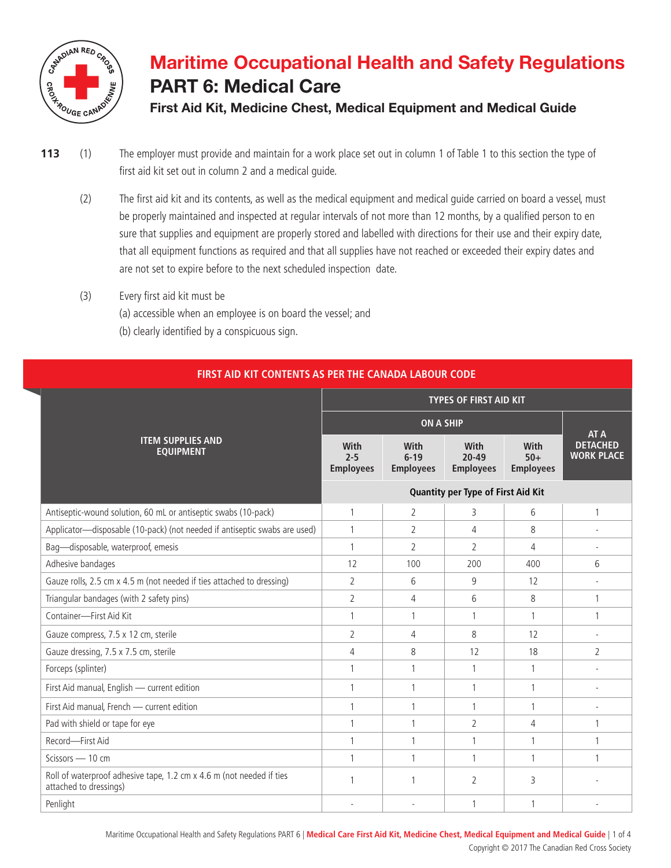

## **Maritime Occupational Health and Safety Regulations PART 6: Medical Care**

**First Aid Kit, Medicine Chest, Medical Equipment and Medical Guide**

- 113 (1) The employer must provide and maintain for a work place set out in column 1 of Table 1 to this section the type of first aid kit set out in column 2 and a medical guide.
	- (2) The first aid kit and its contents, as well as the medical equipment and medical guide carried on board a vessel, must be properly maintained and inspected at regular intervals of not more than 12 months, by a qualified person to en sure that supplies and equipment are properly stored and labelled with directions for their use and their expiry date, that all equipment functions as required and that all supplies have not reached or exceeded their expiry dates and are not set to expire before to the next scheduled inspection date.
	- (3) Every first aid kit must be (a) accessible when an employee is on board the vessel; and (b) clearly identified by a conspicuous sign.

|                                                                                                | <b>TYPES OF FIRST AID KIT</b>       |                                      |                                       |                                   |                                      |
|------------------------------------------------------------------------------------------------|-------------------------------------|--------------------------------------|---------------------------------------|-----------------------------------|--------------------------------------|
|                                                                                                | <b>ON A SHIP</b>                    |                                      |                                       |                                   | AT A                                 |
| <b>ITEM SUPPLIES AND</b><br><b>EQUIPMENT</b>                                                   | With<br>$2 - 5$<br><b>Employees</b> | With<br>$6 - 19$<br><b>Employees</b> | With<br>$20 - 49$<br><b>Employees</b> | With<br>$50+$<br><b>Employees</b> | <b>DETACHED</b><br><b>WORK PLACE</b> |
|                                                                                                | Quantity per Type of First Aid Kit  |                                      |                                       |                                   |                                      |
| Antiseptic-wound solution, 60 mL or antiseptic swabs (10-pack)                                 | $\mathbf{1}$                        | $\overline{2}$                       | 3                                     | 6                                 | 1                                    |
| Applicator-disposable (10-pack) (not needed if antiseptic swabs are used)                      | $\mathbf{1}$                        | $\overline{2}$                       | $\overline{A}$                        | 8                                 |                                      |
| Bag-disposable, waterproof, emesis                                                             | $\mathbf{1}$                        | $\overline{2}$                       | $\overline{2}$                        | $\overline{4}$                    | $\overline{a}$                       |
| Adhesive bandages                                                                              | 12                                  | 100                                  | 200                                   | 400                               | 6                                    |
| Gauze rolls, 2.5 cm x 4.5 m (not needed if ties attached to dressing)                          | $\overline{2}$                      | 6                                    | 9                                     | 12                                | $\overline{a}$                       |
| Triangular bandages (with 2 safety pins)                                                       | $\overline{2}$                      | 4                                    | 6                                     | 8                                 | 1                                    |
| Container-First Aid Kit                                                                        | $\mathbf{1}$                        | $\mathbf{1}$                         | $\mathbf{1}$                          | $\mathbf{1}$                      | 1                                    |
| Gauze compress, 7.5 x 12 cm, sterile                                                           | $\overline{2}$                      | 4                                    | 8                                     | 12                                |                                      |
| Gauze dressing, 7.5 x 7.5 cm, sterile                                                          | $\overline{4}$                      | 8                                    | 12                                    | 18                                | 2                                    |
| Forceps (splinter)                                                                             | $\mathbf{1}$                        | $\mathbf{1}$                         | 1                                     | 1                                 |                                      |
| First Aid manual, English - current edition                                                    | 1                                   | $\mathbf{1}$                         | $\mathbf{1}$                          | 1                                 | $\overline{a}$                       |
| First Aid manual, French - current edition                                                     | $\mathbf{1}$                        | $\mathbf{1}$                         | $\mathbf{1}$                          | 1                                 | $\overline{\phantom{a}}$             |
| Pad with shield or tape for eye                                                                |                                     | 1                                    | 2                                     | 4                                 | 1                                    |
| Record-First Aid                                                                               | $\mathbf{1}$                        | $\mathbf{1}$                         | $\mathbf 1$                           | 1                                 | 1                                    |
| Scissors - 10 cm                                                                               | $\mathbf{1}$                        | $\mathbf{1}$                         | 1                                     | 1                                 | 1                                    |
| Roll of waterproof adhesive tape, 1.2 cm x 4.6 m (not needed if ties<br>attached to dressings) | 1                                   | 1                                    | 2                                     | 3                                 |                                      |
| Penlight                                                                                       |                                     |                                      | 1                                     | 1                                 |                                      |

**FIRST AID KIT CONTENTS AS PER THE CANADA LABOUR CODE**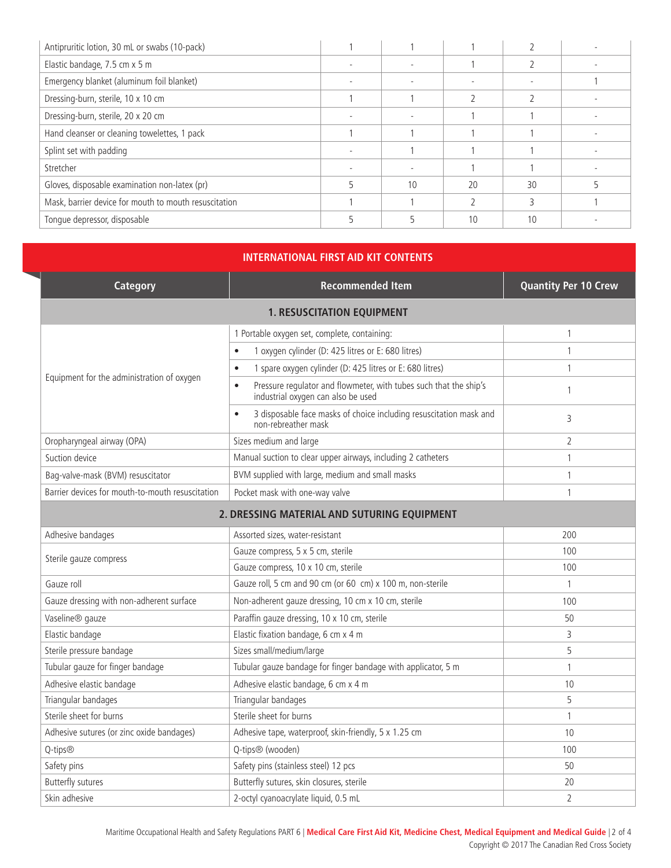| Antipruritic lotion, 30 mL or swabs (10-pack)         |    |    |    |  |
|-------------------------------------------------------|----|----|----|--|
| Elastic bandage, 7.5 cm x 5 m                         |    |    |    |  |
| Emergency blanket (aluminum foil blanket)             |    |    |    |  |
| Dressing-burn, sterile, 10 x 10 cm                    |    |    |    |  |
| Dressing-burn, sterile, 20 x 20 cm                    |    |    |    |  |
| Hand cleanser or cleaning towelettes, 1 pack          |    |    |    |  |
| Splint set with padding                               |    |    |    |  |
| Stretcher                                             |    |    |    |  |
| Gloves, disposable examination non-latex (pr)         | 10 | 20 | 30 |  |
| Mask, barrier device for mouth to mouth resuscitation |    |    |    |  |
| Tonque depressor, disposable                          |    | 10 | 10 |  |

| <b>INTERNATIONAL FIRST AID KIT CONTENTS</b>      |                                                                                                                      |                             |  |  |
|--------------------------------------------------|----------------------------------------------------------------------------------------------------------------------|-----------------------------|--|--|
| <b>Category</b>                                  | <b>Recommended Item</b>                                                                                              | <b>Quantity Per 10 Crew</b> |  |  |
| <b>1. RESUSCITATION EQUIPMENT</b>                |                                                                                                                      |                             |  |  |
| Equipment for the administration of oxygen       | 1 Portable oxygen set, complete, containing:                                                                         | $\mathbf{1}$                |  |  |
|                                                  | 1 oxygen cylinder (D: 425 litres or E: 680 litres)                                                                   | 1                           |  |  |
|                                                  | 1 spare oxygen cylinder (D: 425 litres or E: 680 litres)<br>$\bullet$                                                | 1                           |  |  |
|                                                  | Pressure regulator and flowmeter, with tubes such that the ship's<br>$\bullet$<br>industrial oxygen can also be used | $\mathbf{1}$                |  |  |
|                                                  | 3 disposable face masks of choice including resuscitation mask and<br>$\bullet$<br>non-rebreather mask               | 3                           |  |  |
| Oropharyngeal airway (OPA)                       | Sizes medium and large                                                                                               | $\overline{2}$              |  |  |
| Suction device                                   | Manual suction to clear upper airways, including 2 catheters                                                         | $\mathbf{1}$                |  |  |
| Bag-valve-mask (BVM) resuscitator                | BVM supplied with large, medium and small masks                                                                      | $\mathbf{1}$                |  |  |
| Barrier devices for mouth-to-mouth resuscitation | Pocket mask with one-way valve                                                                                       | $\mathbf{1}$                |  |  |
| 2. DRESSING MATERIAL AND SUTURING EQUIPMENT      |                                                                                                                      |                             |  |  |
| Adhesive bandages                                | Assorted sizes, water-resistant                                                                                      | 200                         |  |  |
| Sterile gauze compress                           | Gauze compress, 5 x 5 cm, sterile                                                                                    | 100                         |  |  |
|                                                  | Gauze compress, 10 x 10 cm, sterile                                                                                  | 100                         |  |  |
| Gauze roll                                       | Gauze roll, 5 cm and 90 cm (or 60 cm) x 100 m, non-sterile                                                           | $\mathbf{1}$                |  |  |
| Gauze dressing with non-adherent surface         | Non-adherent gauze dressing, 10 cm x 10 cm, sterile                                                                  | 100                         |  |  |
| Vaseline <sup>®</sup> gauze                      | Paraffin gauze dressing, 10 x 10 cm, sterile                                                                         | 50                          |  |  |
| Elastic bandage                                  | Elastic fixation bandage, 6 cm x 4 m                                                                                 | 3                           |  |  |
| Sterile pressure bandage                         | Sizes small/medium/large                                                                                             | 5                           |  |  |
| Tubular gauze for finger bandage                 | Tubular gauze bandage for finger bandage with applicator, 5 m                                                        | $\mathbf{1}$                |  |  |
| Adhesive elastic bandage                         | Adhesive elastic bandage, 6 cm x 4 m                                                                                 | 10                          |  |  |
| Triangular bandages                              | Triangular bandages                                                                                                  | 5                           |  |  |
| Sterile sheet for burns                          | Sterile sheet for burns                                                                                              | $\mathbf{1}$                |  |  |
| Adhesive sutures (or zinc oxide bandages)        | Adhesive tape, waterproof, skin-friendly, 5 x 1.25 cm                                                                | 10                          |  |  |
| Q-tips <sup>®</sup>                              | Q-tips® (wooden)                                                                                                     | 100                         |  |  |
| Safety pins                                      | Safety pins (stainless steel) 12 pcs                                                                                 | 50                          |  |  |
| <b>Butterfly sutures</b>                         | Butterfly sutures, skin closures, sterile                                                                            | 20                          |  |  |
| Skin adhesive                                    | 2-octyl cyanoacrylate liquid, 0.5 mL                                                                                 | $\overline{2}$              |  |  |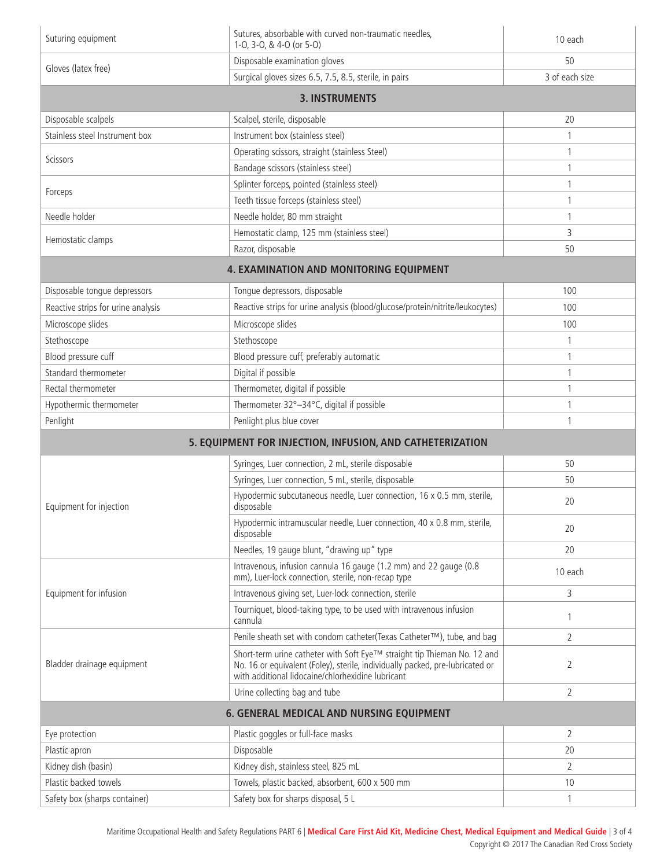| Suturing equipment                                        | Sutures, absorbable with curved non-traumatic needles,<br>1-0, 3-0, & 4-0 (or 5-0)                                                                                                                             | 10 each        |  |  |  |
|-----------------------------------------------------------|----------------------------------------------------------------------------------------------------------------------------------------------------------------------------------------------------------------|----------------|--|--|--|
|                                                           | Disposable examination gloves                                                                                                                                                                                  | 50             |  |  |  |
| Gloves (latex free)                                       | Surgical gloves sizes 6.5, 7.5, 8.5, sterile, in pairs                                                                                                                                                         | 3 of each size |  |  |  |
| <b>3. INSTRUMENTS</b>                                     |                                                                                                                                                                                                                |                |  |  |  |
| Disposable scalpels                                       | Scalpel, sterile, disposable                                                                                                                                                                                   | 20             |  |  |  |
| Stainless steel Instrument box                            | Instrument box (stainless steel)                                                                                                                                                                               | 1              |  |  |  |
|                                                           | Operating scissors, straight (stainless Steel)                                                                                                                                                                 | 1              |  |  |  |
| Scissors                                                  | Bandage scissors (stainless steel)                                                                                                                                                                             | 1              |  |  |  |
|                                                           | Splinter forceps, pointed (stainless steel)                                                                                                                                                                    | 1              |  |  |  |
| Forceps                                                   | Teeth tissue forceps (stainless steel)                                                                                                                                                                         | 1              |  |  |  |
| Needle holder                                             | Needle holder, 80 mm straight                                                                                                                                                                                  | 1              |  |  |  |
|                                                           | Hemostatic clamp, 125 mm (stainless steel)                                                                                                                                                                     | 3              |  |  |  |
| Hemostatic clamps                                         | Razor, disposable                                                                                                                                                                                              | 50             |  |  |  |
|                                                           | <b>4. EXAMINATION AND MONITORING EQUIPMENT</b>                                                                                                                                                                 |                |  |  |  |
| Disposable tongue depressors                              | Tongue depressors, disposable                                                                                                                                                                                  | 100            |  |  |  |
| Reactive strips for urine analysis                        | Reactive strips for urine analysis (blood/glucose/protein/nitrite/leukocytes)                                                                                                                                  | 100            |  |  |  |
| Microscope slides                                         | Microscope slides                                                                                                                                                                                              | 100            |  |  |  |
| Stethoscope                                               | Stethoscope                                                                                                                                                                                                    | 1              |  |  |  |
| Blood pressure cuff                                       | Blood pressure cuff, preferably automatic                                                                                                                                                                      | 1              |  |  |  |
| Standard thermometer                                      | Digital if possible                                                                                                                                                                                            | 1              |  |  |  |
| Rectal thermometer                                        | Thermometer, digital if possible                                                                                                                                                                               | 1              |  |  |  |
| Hypothermic thermometer                                   | Thermometer 32°-34°C, digital if possible                                                                                                                                                                      | 1              |  |  |  |
| Penlight                                                  | Penlight plus blue cover                                                                                                                                                                                       | 1              |  |  |  |
| 5. EQUIPMENT FOR INJECTION, INFUSION, AND CATHETERIZATION |                                                                                                                                                                                                                |                |  |  |  |
|                                                           | Syringes, Luer connection, 2 mL, sterile disposable                                                                                                                                                            | 50             |  |  |  |
|                                                           | Syringes, Luer connection, 5 mL, sterile, disposable                                                                                                                                                           | 50             |  |  |  |
| Equipment for injection                                   | Hypodermic subcutaneous needle, Luer connection, 16 x 0.5 mm, sterile,<br>disposable                                                                                                                           | 20             |  |  |  |
|                                                           | Hypodermic intramuscular needle, Luer connection, 40 x 0.8 mm, sterile,<br>disposable                                                                                                                          | 20             |  |  |  |
|                                                           | Needles, 19 gauge blunt, "drawing up" type                                                                                                                                                                     | 20             |  |  |  |
| Equipment for infusion                                    | Intravenous, infusion cannula 16 gauge (1.2 mm) and 22 gauge (0.8<br>mm), Luer-lock connection, sterile, non-recap type                                                                                        | 10 each        |  |  |  |
|                                                           | Intravenous giving set, Luer-lock connection, sterile                                                                                                                                                          | 3              |  |  |  |
|                                                           | Tourniquet, blood-taking type, to be used with intravenous infusion<br>cannula                                                                                                                                 | 1              |  |  |  |
|                                                           | Penile sheath set with condom catheter(Texas Catheter™), tube, and bag                                                                                                                                         | 2              |  |  |  |
| Bladder drainage equipment                                | Short-term urine catheter with Soft Eye™ straight tip Thieman No. 12 and<br>No. 16 or equivalent (Foley), sterile, individually packed, pre-lubricated or<br>with additional lidocaine/chlorhexidine lubricant | 2              |  |  |  |
|                                                           | Urine collecting bag and tube                                                                                                                                                                                  | $\overline{2}$ |  |  |  |
| 6. GENERAL MEDICAL AND NURSING EQUIPMENT                  |                                                                                                                                                                                                                |                |  |  |  |
| Eye protection                                            | Plastic goggles or full-face masks                                                                                                                                                                             | 2              |  |  |  |
| Plastic apron                                             | Disposable                                                                                                                                                                                                     | 20             |  |  |  |
| Kidney dish (basin)                                       | Kidney dish, stainless steel, 825 mL                                                                                                                                                                           | 2              |  |  |  |
| Plastic backed towels                                     | Towels, plastic backed, absorbent, 600 x 500 mm                                                                                                                                                                | 10             |  |  |  |
| Safety box (sharps container)                             | Safety box for sharps disposal, 5 L                                                                                                                                                                            | 1              |  |  |  |